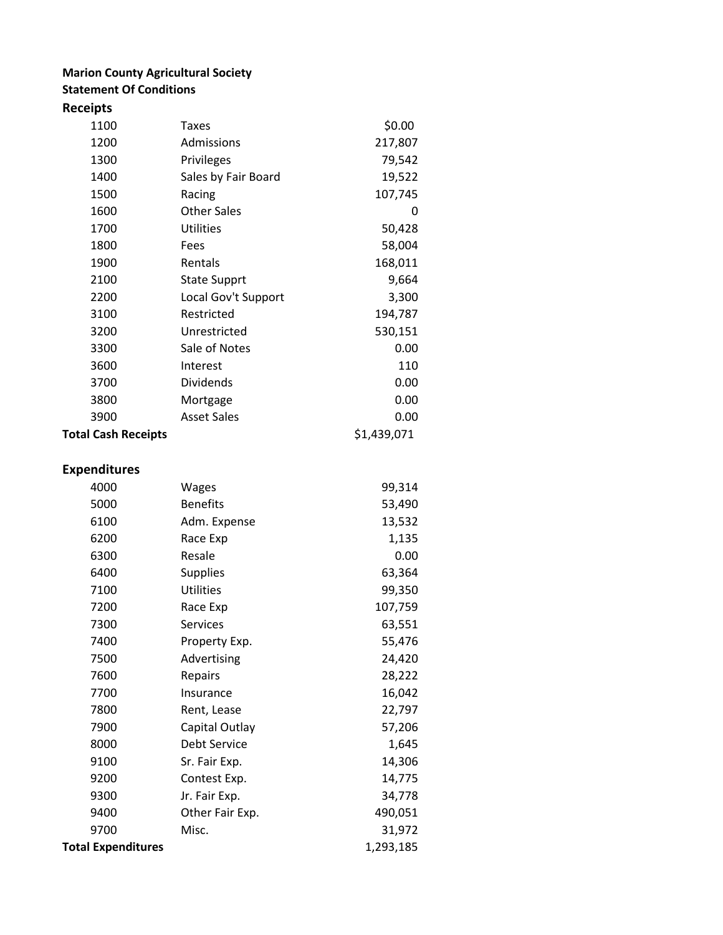## **Marion County Agricultural Society Statement Of Conditions**

## **Receipts**

| 1100                       | Taxes               | \$0.00      |
|----------------------------|---------------------|-------------|
| 1200                       | Admissions          | 217,807     |
| 1300                       | Privileges          | 79,542      |
| 1400                       | Sales by Fair Board | 19,522      |
| 1500                       | Racing              | 107,745     |
| 1600                       | <b>Other Sales</b>  | 0           |
| 1700                       | <b>Utilities</b>    | 50,428      |
| 1800                       | Fees                | 58,004      |
| 1900                       | Rentals             | 168,011     |
| 2100                       | <b>State Supprt</b> | 9,664       |
| 2200                       | Local Gov't Support | 3,300       |
| 3100                       | Restricted          | 194,787     |
| 3200                       | Unrestricted        | 530,151     |
| 3300                       | Sale of Notes       | 0.00        |
| 3600                       | Interest            | 110         |
| 3700                       | Dividends           | 0.00        |
| 3800                       | Mortgage            | 0.00        |
| 3900                       | <b>Asset Sales</b>  | 0.00        |
| <b>Total Cash Receipts</b> |                     | \$1,439,071 |

## **Expenditures**

| 4000                      | Wages            | 99,314    |
|---------------------------|------------------|-----------|
| 5000                      | <b>Benefits</b>  | 53,490    |
| 6100                      | Adm. Expense     | 13,532    |
| 6200                      | Race Exp         | 1,135     |
| 6300                      | Resale           | 0.00      |
| 6400                      | <b>Supplies</b>  | 63,364    |
| 7100                      | <b>Utilities</b> | 99,350    |
| 7200                      | Race Exp         | 107,759   |
| 7300                      | Services         | 63,551    |
| 7400                      | Property Exp.    | 55,476    |
| 7500                      | Advertising      | 24,420    |
| 7600                      | Repairs          | 28,222    |
| 7700                      | Insurance        | 16,042    |
| 7800                      | Rent, Lease      | 22,797    |
| 7900                      | Capital Outlay   | 57,206    |
| 8000                      | Debt Service     | 1,645     |
| 9100                      | Sr. Fair Exp.    | 14,306    |
| 9200                      | Contest Exp.     | 14,775    |
| 9300                      | Jr. Fair Exp.    | 34,778    |
| 9400                      | Other Fair Exp.  | 490,051   |
| 9700                      | Misc.            | 31,972    |
| <b>Total Expenditures</b> |                  | 1,293,185 |